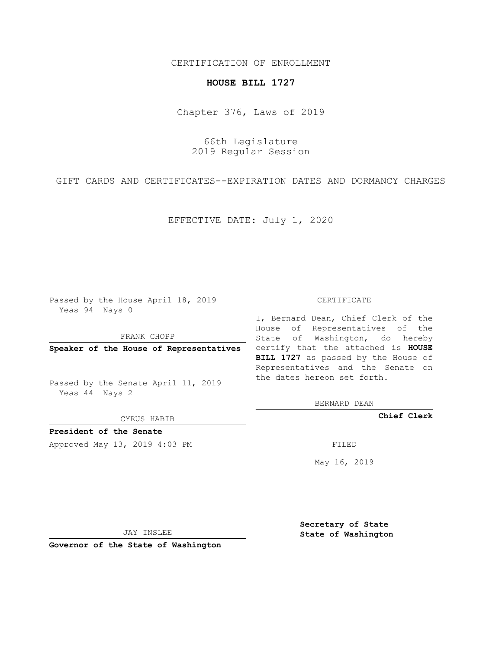### CERTIFICATION OF ENROLLMENT

# **HOUSE BILL 1727**

Chapter 376, Laws of 2019

66th Legislature 2019 Regular Session

GIFT CARDS AND CERTIFICATES--EXPIRATION DATES AND DORMANCY CHARGES

EFFECTIVE DATE: July 1, 2020

Passed by the House April 18, 2019 Yeas 94 Nays 0

FRANK CHOPP

Passed by the Senate April 11, 2019 Yeas 44 Nays 2

CYRUS HABIB

**President of the Senate**

Approved May 13, 2019 4:03 PM

#### CERTIFICATE

**Speaker of the House of Representatives** certify that the attached is **HOUSE** I, Bernard Dean, Chief Clerk of the House of Representatives of the State of Washington, do hereby **BILL 1727** as passed by the House of Representatives and the Senate on the dates hereon set forth.

BERNARD DEAN

**Chief Clerk**

May 16, 2019

JAY INSLEE

**Governor of the State of Washington**

**Secretary of State State of Washington**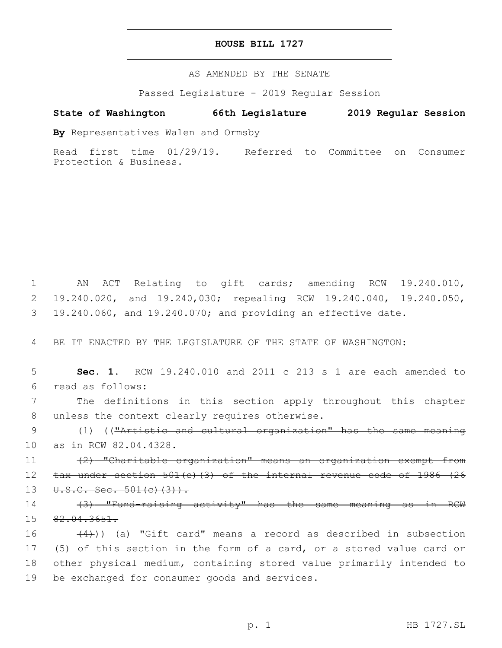### **HOUSE BILL 1727**

AS AMENDED BY THE SENATE

Passed Legislature - 2019 Regular Session

## **State of Washington 66th Legislature 2019 Regular Session**

**By** Representatives Walen and Ormsby

Read first time 01/29/19. Referred to Committee on Consumer Protection & Business.

1 AN ACT Relating to gift cards; amending RCW 19.240.010, 2 19.240.020, and 19.240,030; repealing RCW 19.240.040, 19.240.050, 3 19.240.060, and 19.240.070; and providing an effective date.

4 BE IT ENACTED BY THE LEGISLATURE OF THE STATE OF WASHINGTON:

5 **Sec. 1.** RCW 19.240.010 and 2011 c 213 s 1 are each amended to read as follows:6

7 The definitions in this section apply throughout this chapter 8 unless the context clearly requires otherwise.

9 (1) (("Artistic and cultural organization" has the same meaning 10 as in RCW 82.04.4328.

11 (2) "Charitable organization" means an organization exempt from 12 tax under section 501(c)(3) of the internal revenue code of 1986 (26 13  $U.S.C. Sec. 501(c)(3)$ .

14 (3) "Fund-raising activity" has the same meaning as in RCW 15 82.04.3651.

 $(4)$ ) (a) "Gift card" means a record as described in subsection (5) of this section in the form of a card, or a stored value card or other physical medium, containing stored value primarily intended to 19 be exchanged for consumer goods and services.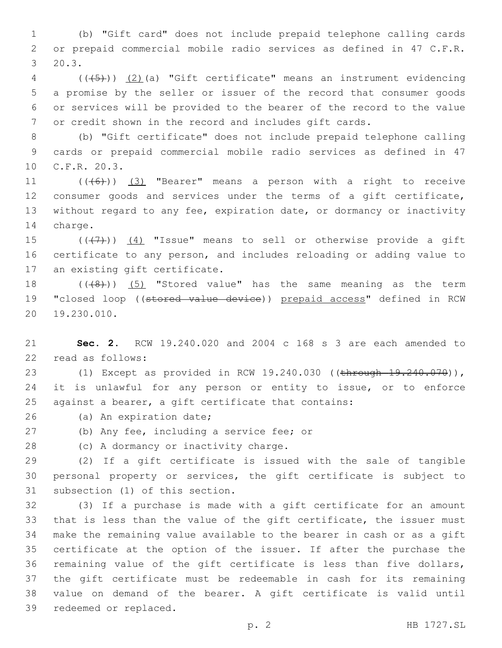1 (b) "Gift card" does not include prepaid telephone calling cards 2 or prepaid commercial mobile radio services as defined in 47 C.F.R.  $3, 20.3.$ 

 (((5))) (2)(a) "Gift certificate" means an instrument evidencing a promise by the seller or issuer of the record that consumer goods or services will be provided to the bearer of the record to the value or credit shown in the record and includes gift cards.

8 (b) "Gift certificate" does not include prepaid telephone calling 9 cards or prepaid commercial mobile radio services as defined in 47 10 C.F.R. 20.3.

 $((+6+))$   $(3)$  "Bearer" means a person with a right to receive consumer goods and services under the terms of a gift certificate, without regard to any fee, expiration date, or dormancy or inactivity 14 charge.

15  $((+7+))$   $(4)$  "Issue" means to sell or otherwise provide a gift 16 certificate to any person, and includes reloading or adding value to 17 an existing gift certificate.

18  $((+8+))$   $(5)$  "Stored value" has the same meaning as the term 19 "closed loop ((stored value device)) prepaid access" defined in RCW 20 19.230.010.

21 **Sec. 2.** RCW 19.240.020 and 2004 c 168 s 3 are each amended to 22 read as follows:

23 (1) Except as provided in RCW 19.240.030 ((through 19.240.070)), 24 it is unlawful for any person or entity to issue, or to enforce 25 against a bearer, a gift certificate that contains:

26 (a) An expiration date;

(b) Any fee, including a service fee; or

28 (c) A dormancy or inactivity charge.

29 (2) If a gift certificate is issued with the sale of tangible 30 personal property or services, the gift certificate is subject to 31 subsection (1) of this section.

 (3) If a purchase is made with a gift certificate for an amount that is less than the value of the gift certificate, the issuer must make the remaining value available to the bearer in cash or as a gift certificate at the option of the issuer. If after the purchase the remaining value of the gift certificate is less than five dollars, the gift certificate must be redeemable in cash for its remaining value on demand of the bearer. A gift certificate is valid until 39 redeemed or replaced.